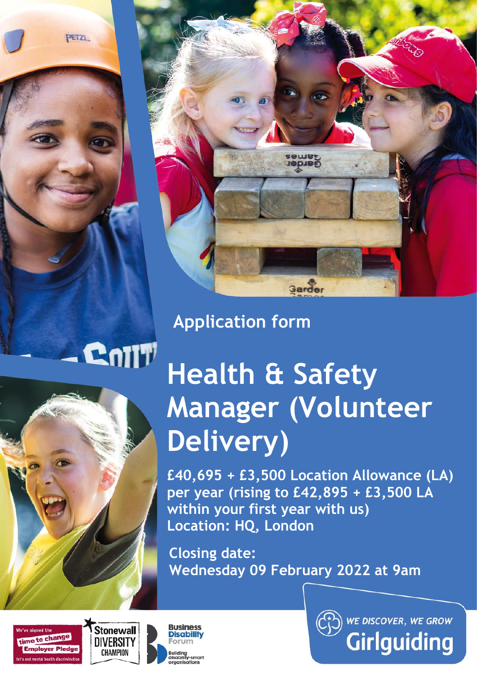PETZL



# **Application form**

# **Health & Safety Manager (Volunteer Delivery)**

**£40,695 + £3,500 Location Allowance (LA) per year (rising to £42,895 + £3,500 LA within your first year with us) Location: HQ, London**

**Closing date: Wednesday 09 February 2022 at 9am**





**Cnill** 



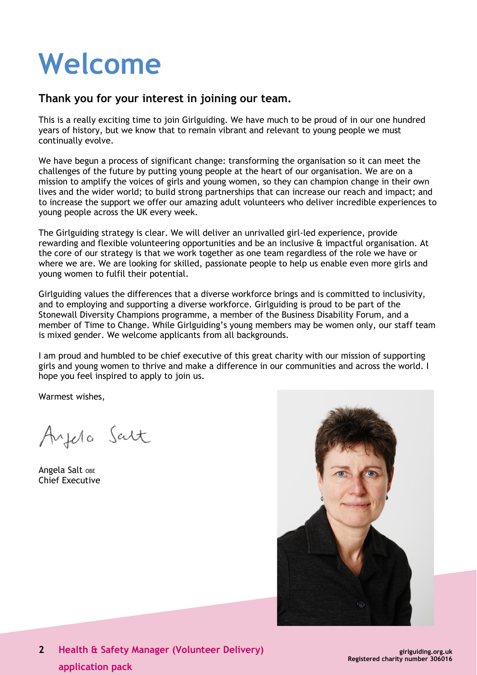# **Welcome**

## **Thank you for your interest in joining our team.**

This is a really exciting time to join Girlguiding. We have much to be proud of in our one hundred years of history, but we know that to remain vibrant and relevant to young people we must continually evolve.

We have begun a process of significant change: transforming the organisation so it can meet the challenges of the future by putting young people at the heart of our organisation. We are on a mission to amplify the voices of girls and young women, so they can champion change in their own lives and the wider world; to build strong partnerships that can increase our reach and impact; and to increase the support we offer our amazing adult volunteers who deliver incredible experiences to young people across the UK every week.

The Girlguiding strategy is clear. We will deliver an unrivalled girl-led experience, provide rewarding and flexible volunteering opportunities and be an inclusive & impactful organisation. At the core of our strategy is that we work together as one team regardless of the role we have or where we are. We are looking for skilled, passionate people to help us enable even more girls and young women to fulfil their potential.

Girlguiding values the differences that a diverse workforce brings and is committed to inclusivity, and to employing and supporting a diverse workforce. Girlguiding is proud to be part of the Stonewall Diversity Champions programme, a member of the Business Disability Forum, and a member of Time to Change. While Girlguiding's young members may be women only, our staff team is mixed gender. We welcome applicants from all backgrounds.

I am proud and humbled to be chief executive of this great charity with our mission of supporting girls and young women to thrive and make a difference in our communities and across the world. I hope you feel inspired to apply to join us.

Warmest wishes,

Ayela Salt

Angela Salt OBE Chief Executive

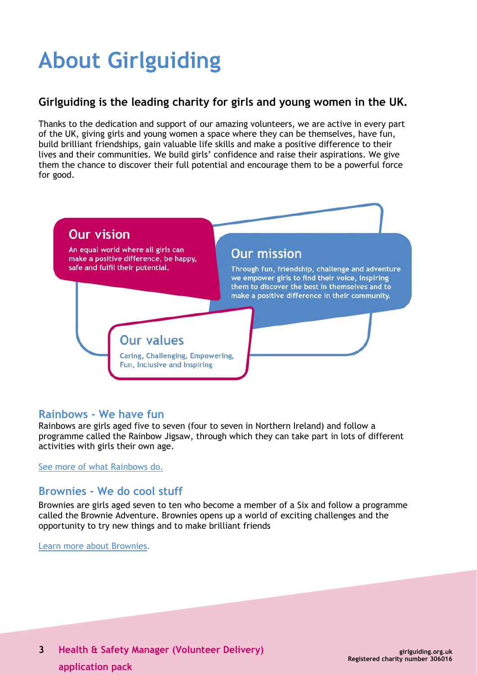# **About Girlguiding**

# **Girlguiding is the leading charity for girls and young women in the UK.**

Thanks to the dedication and support of our amazing volunteers, we are active in every part of the UK, giving girls and young women a space where they can be themselves, have fun, build brilliant friendships, gain valuable life skills and make a positive difference to their lives and their communities. We build girls' confidence and raise their aspirations. We give them the chance to discover their full potential and encourage them to be a powerful force for good.



# **Rainbows - We have fun**

Rainbows are girls aged five to seven (four to seven in Northern Ireland) and follow a programme called the Rainbow Jigsaw, through which they can take part in lots of different activities with girls their own age.

See more of [what Rainbows do.](http://www.girlguiding.org.uk/about_us/what_do_girls_in_guiding_do/rainbows.aspx)

# **Brownies - We do cool stuff**

Brownies are girls aged seven to ten who become a member of a Six and follow a programme called the Brownie Adventure. Brownies opens up a world of exciting challenges and the opportunity to try new things and to make brilliant friends

[Learn more about Brownies](http://www.girlguiding.org.uk/about_us/what_do_girls_in_guiding_do/brownies.aspx).

**3 Health & Safety Manager (Volunteer Delivery) application pack**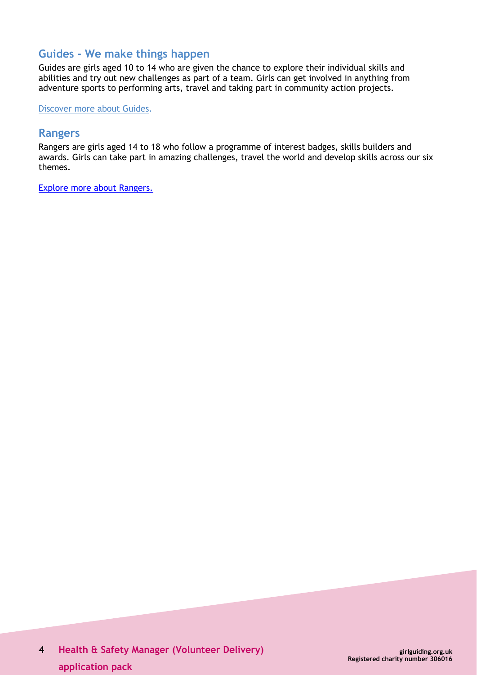# **Guides - We make things happen**

Guides are girls aged 10 to 14 who are given the chance to explore their individual skills and abilities and try out new challenges as part of a team. Girls can get involved in anything from adventure sports to performing arts, travel and taking part in community action projects.

[Discover more about Guides.](http://www.girlguiding.org.uk/about_us/what_do_girls_in_guiding_do/guides.aspx)

#### **Rangers**

Rangers are girls aged 14 to 18 who follow a programme of interest badges, skills builders and awards. Girls can take part in amazing challenges, travel the world and develop skills across our six themes.

[Explore more about Rangers.](https://www.girlguiding.org.uk/what-we-do/rangers/all-about-rangers/)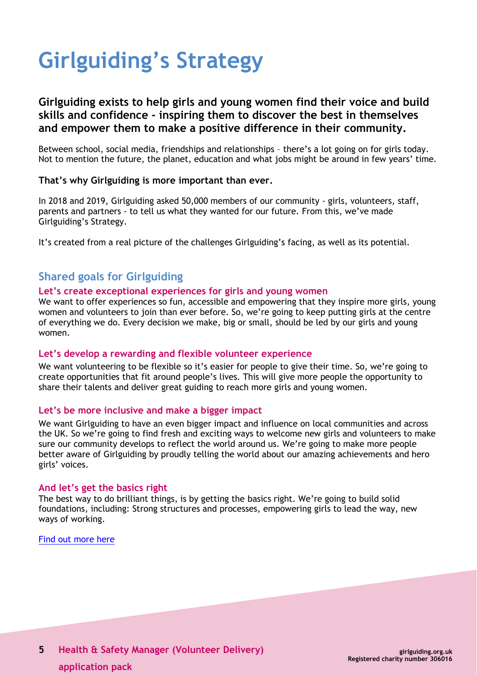# **Girlguiding's Strategy**

# **Girlguiding exists to help girls and young women find their voice and build skills and confidence - inspiring them to discover the best in themselves and empower them to make a positive difference in their community.**

Between school, social media, friendships and relationships – there's a lot going on for girls today. Not to mention the future, the planet, education and what jobs might be around in few years' time.

#### **That's why Girlguiding is more important than ever.**

In 2018 and 2019, Girlguiding asked 50,000 members of our community - girls, volunteers, staff, parents and partners - to tell us what they wanted for our future. From this, we've made Girlguiding's Strategy.

It's created from a real picture of the challenges Girlguiding's facing, as well as its potential.

# **Shared goals for Girlguiding**

#### **Let's create exceptional experiences for girls and young women**

We want to offer experiences so fun, accessible and empowering that they inspire more girls, young women and volunteers to join than ever before. So, we're going to keep putting girls at the centre of everything we do. Every decision we make, big or small, should be led by our girls and young women.

#### **Let's develop a rewarding and flexible volunteer experience**

We want volunteering to be flexible so it's easier for people to give their time. So, we're going to create opportunities that fit around people's lives. This will give more people the opportunity to share their talents and deliver great guiding to reach more girls and young women.

#### **Let's be more inclusive and make a bigger impact**

We want Girlguiding to have an even bigger impact and influence on local communities and across the UK. So we're going to find fresh and exciting ways to welcome new girls and volunteers to make sure our community develops to reflect the world around us. We're going to make more people better aware of Girlguiding by proudly telling the world about our amazing achievements and hero girls' voices.

#### **And let's get the basics right**

The best way to do brilliant things, is by getting the basics right. We're going to build solid foundations, including: Strong structures and processes, empowering girls to lead the way, new ways of working.

[Find out more here](https://www.girlguiding.org.uk/about-us/girlguidings-strategy/)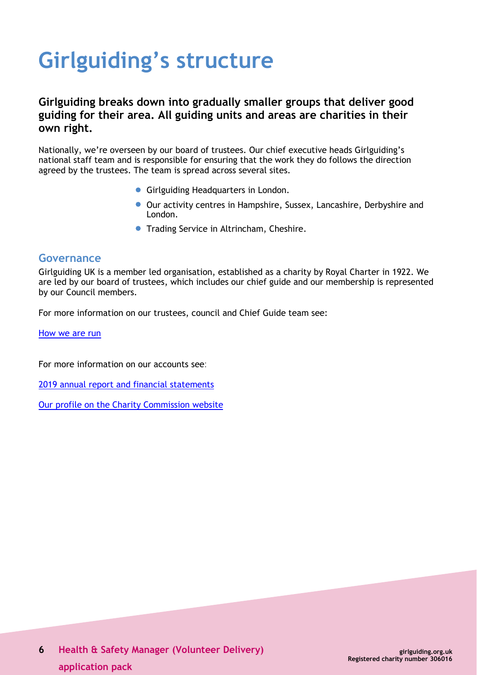# **Girlguiding's structure**

# **Girlguiding breaks down into gradually smaller groups that deliver good guiding for their area. All guiding units and areas are charities in their own right.**

Nationally, we're overseen by our board of trustees. Our chief executive heads Girlguiding's national staff team and is responsible for ensuring that the work they do follows the direction agreed by the trustees. The team is spread across several sites.

- Girlguiding Headquarters in London.
- Our activity centres in Hampshire, Sussex, Lancashire, Derbyshire and London.
- Trading Service in Altrincham, Cheshire.

#### **Governance**

Girlguiding UK is a member led organisation, established as a charity by Royal Charter in 1922. We are led by our board of trustees, which includes our chief guide and our membership is represented by our Council members.

For more information on our trustees, council and Chief Guide team see:

[How we are run](https://www.girlguiding.org.uk/about-us/our-organisation/how-girlguiding-is-run/)

For more information on our accounts see:

2019 annual report and financial [statements](https://www.girlguiding.org.uk/globalassets/docs-and-resources/quality-and-compliance/annual-report-2019.pdf)

Our profile on the Charity [Commission](http://www.charitycommission.gov.uk/search-for-a-charity/?txt=306016) website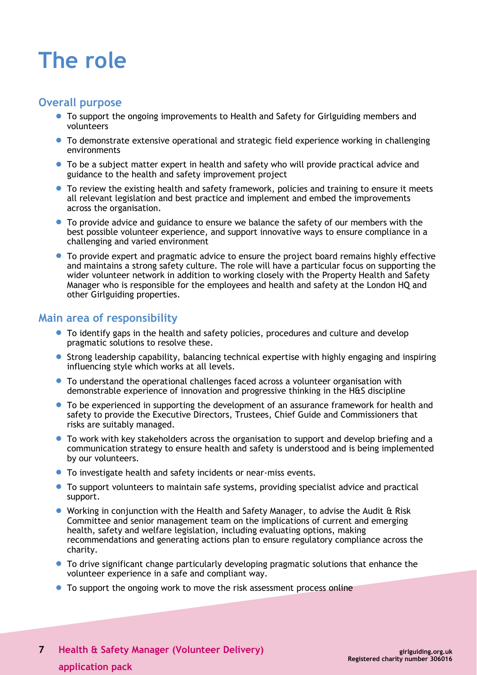# **The role**

#### **Overall purpose**

- To support the ongoing improvements to Health and Safety for Girlguiding members and volunteers
- To demonstrate extensive operational and strategic field experience working in challenging environments
- To be a subject matter expert in health and safety who will provide practical advice and guidance to the health and safety improvement project
- To review the existing health and safety framework, policies and training to ensure it meets all relevant legislation and best practice and implement and embed the improvements across the organisation.
- To provide advice and guidance to ensure we balance the safety of our members with the best possible volunteer experience, and support innovative ways to ensure compliance in a challenging and varied environment
- To provide expert and pragmatic advice to ensure the project board remains highly effective and maintains a strong safety culture. The role will have a particular focus on supporting the wider volunteer network in addition to working closely with the Property Health and Safety Manager who is responsible for the employees and health and safety at the London HQ and other Girlguiding properties.

### **Main area of responsibility**

- To identify gaps in the health and safety policies, procedures and culture and develop pragmatic solutions to resolve these.
- Strong leadership capability, balancing technical expertise with highly engaging and inspiring influencing style which works at all levels.
- To understand the operational challenges faced across a volunteer organisation with demonstrable experience of innovation and progressive thinking in the H&S discipline
- To be experienced in supporting the development of an assurance framework for health and safety to provide the Executive Directors, Trustees, Chief Guide and Commissioners that risks are suitably managed.
- To work with key stakeholders across the organisation to support and develop briefing and a communication strategy to ensure health and safety is understood and is being implemented by our volunteers.
- To investigate health and safety incidents or near-miss events.
- To support volunteers to maintain safe systems, providing specialist advice and practical support.
- Working in conjunction with the Health and Safety Manager, to advise the Audit & Risk Committee and senior management team on the implications of current and emerging health, safety and welfare legislation, including evaluating options, making recommendations and generating actions plan to ensure regulatory compliance across the charity.
- To drive significant change particularly developing pragmatic solutions that enhance the volunteer experience in a safe and compliant way.
- To support the ongoing work to move the risk assessment process online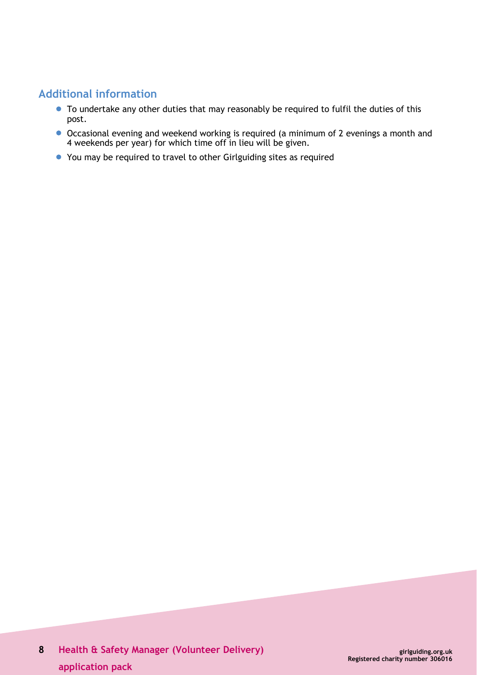# **Additional information**

- To undertake any other duties that may reasonably be required to fulfil the duties of this post.
- Occasional evening and weekend working is required (a minimum of 2 evenings a month and 4 weekends per year) for which time off in lieu will be given.
- You may be required to travel to other Girlguiding sites as required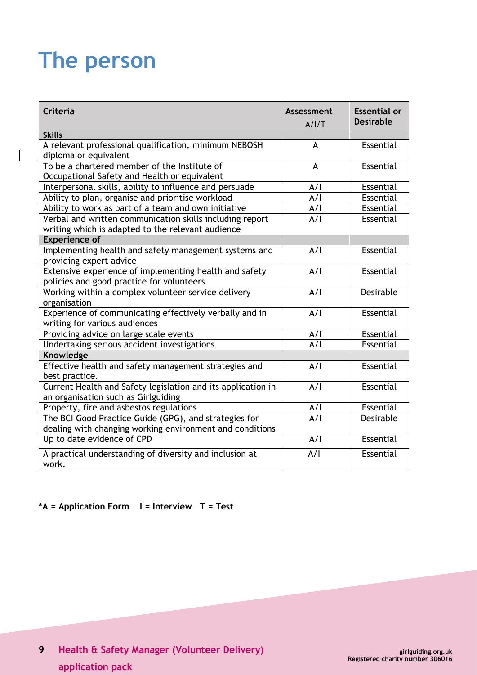# **The person**

 $\overline{\phantom{a}}$ 

| <b>Criteria</b>                                                                                                   | <b>Assessment</b><br>A/1/T | <b>Essential or</b><br><b>Desirable</b> |
|-------------------------------------------------------------------------------------------------------------------|----------------------------|-----------------------------------------|
| <b>Skills</b>                                                                                                     |                            |                                         |
| A relevant professional qualification, minimum NEBOSH<br>diploma or equivalent                                    | A                          | Essential                               |
| To be a chartered member of the Institute of<br>Occupational Safety and Health or equivalent                      | A                          | Essential                               |
| Interpersonal skills, ability to influence and persuade                                                           | A/I                        | Essential                               |
| Ability to plan, organise and prioritise workload                                                                 | A/I                        | Essential                               |
| Ability to work as part of a team and own initiative                                                              | A/I                        | Essential                               |
| Verbal and written communication skills including report<br>writing which is adapted to the relevant audience     | A/I                        | Essential                               |
| <b>Experience of</b>                                                                                              |                            |                                         |
| Implementing health and safety management systems and<br>providing expert advice                                  | A/I                        | Essential                               |
| Extensive experience of implementing health and safety<br>policies and good practice for volunteers               | A/I                        | Essential                               |
| Working within a complex volunteer service delivery<br>organisation                                               | A/I                        | Desirable                               |
| Experience of communicating effectively verbally and in<br>writing for various audiences                          | A/I                        | <b>Essential</b>                        |
| Providing advice on large scale events                                                                            | A/I                        | Essential                               |
| Undertaking serious accident investigations                                                                       | A/I                        | Essential                               |
| Knowledge                                                                                                         |                            |                                         |
| Effective health and safety management strategies and<br>best practice.                                           | A/I                        | Essential                               |
| Current Health and Safety legislation and its application in<br>an organisation such as Girlguiding               | A/I                        | Essential                               |
| Property, fire and asbestos regulations                                                                           | A/I                        | Essential                               |
| The BCI Good Practice Guide (GPG), and strategies for<br>dealing with changing working environment and conditions | A/I                        | Desirable                               |
| Up to date evidence of CPD                                                                                        | A/I                        | Essential                               |
| A practical understanding of diversity and inclusion at<br>work.                                                  | A/I                        | <b>Essential</b>                        |

## **\*A = Application Form I = Interview T = Test**

**9 Health & Safety Manager (Volunteer Delivery) application pack**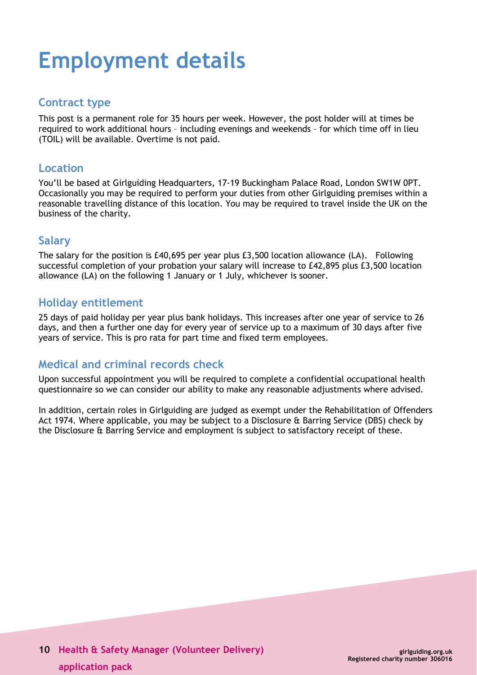# **Employment details**

## **Contract type**

This post is a permanent role for 35 hours per week. However, the post holder will at times be required to work additional hours – including evenings and weekends – for which time off in lieu (TOIL) will be available. Overtime is not paid.

### **Location**

You'll be based at Girlguiding Headquarters, 17-19 Buckingham Palace Road, London SW1W 0PT. Occasionally you may be required to perform your duties from other Girlguiding premises within a reasonable travelling distance of this location. You may be required to travel inside the UK on the business of the charity.

# **Salary**

The salary for the position is £40,695 per year plus £3,500 location allowance (LA). Following successful completion of your probation your salary will increase to £42,895 plus £3,500 location allowance (LA) on the following 1 January or 1 July, whichever is sooner.

# **Holiday entitlement**

25 days of paid holiday per year plus bank holidays. This increases after one year of service to 26 days, and then a further one day for every year of service up to a maximum of 30 days after five years of service. This is pro rata for part time and fixed term employees.

# **Medical and criminal records check**

Upon successful appointment you will be required to complete a confidential occupational health questionnaire so we can consider our ability to make any reasonable adjustments where advised.

In addition, certain roles in Girlguiding are judged as exempt under the Rehabilitation of Offenders Act 1974. Where applicable, you may be subject to a Disclosure & Barring Service (DBS) check by the Disclosure & Barring Service and employment is subject to satisfactory receipt of these.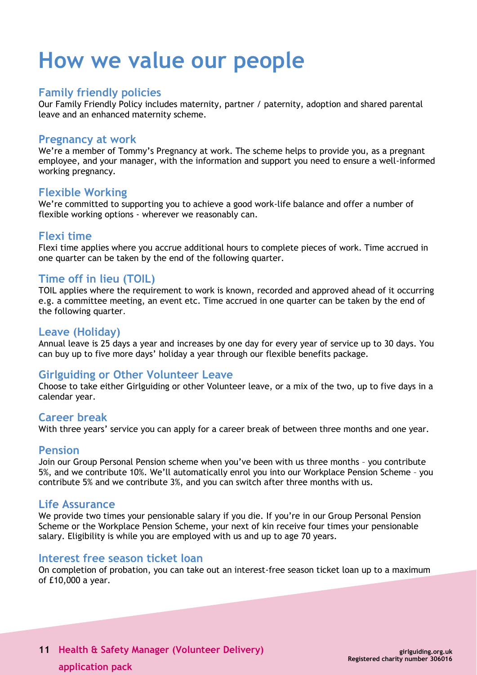# **How we value our people**

#### **Family friendly policies**

Our Family Friendly Policy includes maternity, partner / paternity, adoption and shared parental leave and an enhanced maternity scheme.

#### **Pregnancy at work**

We're a member of Tommy's Pregnancy at work. The scheme helps to provide you, as a pregnant employee, and your manager, with the information and support you need to ensure a well-informed working pregnancy.

### **Flexible Working**

We're committed to supporting you to achieve a good work-life balance and offer a number of flexible working options - wherever we reasonably can.

### **Flexi time**

Flexi time applies where you accrue additional hours to complete pieces of work. Time accrued in one quarter can be taken by the end of the following quarter.

### **Time off in lieu (TOIL)**

TOIL applies where the requirement to work is known, recorded and approved ahead of it occurring e.g. a committee meeting, an event etc. Time accrued in one quarter can be taken by the end of the following quarter.

### **Leave (Holiday)**

Annual leave is 25 days a year and increases by one day for every year of service up to 30 days. You can buy up to five more days' holiday a year through our flexible benefits package.

# **Girlguiding or Other Volunteer Leave**

Choose to take either Girlguiding or other Volunteer leave, or a mix of the two, up to five days in a calendar year.

# **Career break**

With three years' service you can apply for a career break of between three months and one year.

#### **Pension**

Join our Group Personal Pension scheme when you've been with us three months – you contribute 5%, and we contribute 10%. We'll automatically enrol you into our Workplace Pension Scheme – you contribute 5% and we contribute 3%, and you can switch after three months with us.

#### **Life Assurance**

We provide two times your pensionable salary if you die. If you're in our Group Personal Pension Scheme or the Workplace Pension Scheme, your next of kin receive four times your pensionable salary. Eligibility is while you are employed with us and up to age 70 years.

#### **Interest free season ticket loan**

On completion of probation, you can take out an interest-free season ticket loan up to a maximum of £10,000 a year.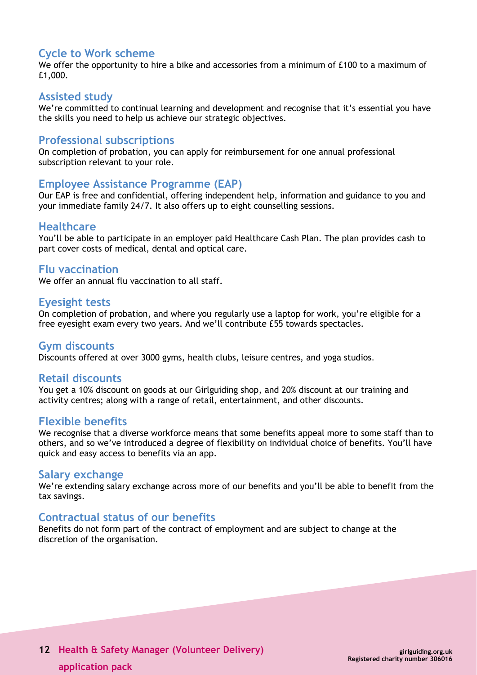### **Cycle to Work scheme**

We offer the opportunity to hire a bike and accessories from a minimum of £100 to a maximum of £1,000.

#### **Assisted study**

We're committed to continual learning and development and recognise that it's essential you have the skills you need to help us achieve our strategic objectives.

#### **Professional subscriptions**

On completion of probation, you can apply for reimbursement for one annual professional subscription relevant to your role.

#### **Employee Assistance Programme (EAP)**

Our EAP is free and confidential, offering independent help, information and guidance to you and your immediate family 24/7. It also offers up to eight counselling sessions.

#### **Healthcare**

You'll be able to participate in an employer paid Healthcare Cash Plan. The plan provides cash to part cover costs of medical, dental and optical care.

#### **Flu vaccination**

We offer an annual flu vaccination to all staff.

#### **Eyesight tests**

On completion of probation, and where you regularly use a laptop for work, you're eligible for a free eyesight exam every two years. And we'll contribute £55 towards spectacles.

#### **Gym discounts**

Discounts offered at over 3000 gyms, health clubs, leisure centres, and yoga studios.

#### **Retail discounts**

You get a 10% discount on goods at our Girlguiding shop, and 20% discount at our training and activity centres; along with a range of retail, entertainment, and other discounts.

#### **Flexible benefits**

We recognise that a diverse workforce means that some benefits appeal more to some staff than to others, and so we've introduced a degree of flexibility on individual choice of benefits. You'll have quick and easy access to benefits via an app.

#### **Salary exchange**

We're extending salary exchange across more of our benefits and you'll be able to benefit from the tax savings.

#### **Contractual status of our benefits**

Benefits do not form part of the contract of employment and are subject to change at the discretion of the organisation.